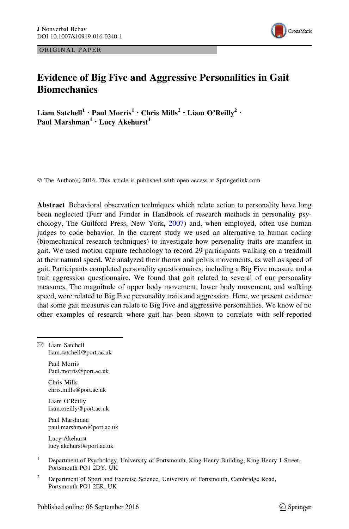ORIGINAL PAPER



# Evidence of Big Five and Aggressive Personalities in Gait **Biomechanics**

Liam Satchell<sup>1</sup> · Paul Morris<sup>1</sup> · Chris Mills<sup>2</sup> · Liam O'Reilly<sup>2</sup> · Paul Marshman<sup>1</sup> · Lucy Akehurst<sup>1</sup>

© The Author(s) 2016. This article is published with open access at Springerlink.com

Abstract Behavioral observation techniques which relate action to personality have long been neglected (Furr and Funder in Handbook of research methods in personality psychology, The Guilford Press, New York, [2007\)](#page-9-0) and, when employed, often use human judges to code behavior. In the current study we used an alternative to human coding (biomechanical research techniques) to investigate how personality traits are manifest in gait. We used motion capture technology to record 29 participants walking on a treadmill at their natural speed. We analyzed their thorax and pelvis movements, as well as speed of gait. Participants completed personality questionnaires, including a Big Five measure and a trait aggression questionnaire. We found that gait related to several of our personality measures. The magnitude of upper body movement, lower body movement, and walking speed, were related to Big Five personality traits and aggression. Here, we present evidence that some gait measures can relate to Big Five and aggressive personalities. We know of no other examples of research where gait has been shown to correlate with self-reported

 $\boxtimes$  Liam Satchell liam.satchell@port.ac.uk

> Paul Morris Paul.morris@port.ac.uk

Chris Mills chris.mills@port.ac.uk

Liam O'Reilly liam.oreilly@port.ac.uk

Paul Marshman paul.marshman@port.ac.uk

Lucy Akehurst lucy.akehurst@port.ac.uk

- <sup>1</sup> Department of Psychology, University of Portsmouth, King Henry Building, King Henry 1 Street, Portsmouth PO1 2DY, UK
- <sup>2</sup> Department of Sport and Exercise Science, University of Portsmouth, Cambridge Road, Portsmouth PO1 2ER, UK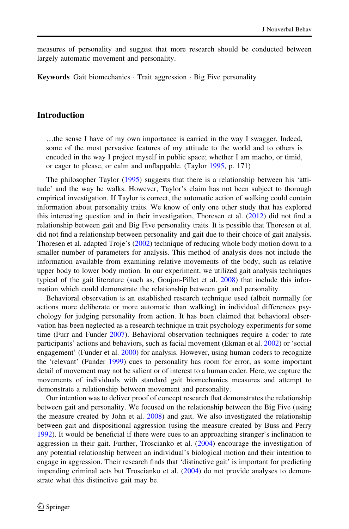measures of personality and suggest that more research should be conducted between largely automatic movement and personality.

Keywords Gait biomechanics · Trait aggression · Big Five personality

#### **Introduction**

…the sense I have of my own importance is carried in the way I swagger. Indeed, some of the most pervasive features of my attitude to the world and to others is encoded in the way I project myself in public space; whether I am macho, or timid, or eager to please, or calm and unflappable. (Taylor [1995,](#page-9-0) p. 171)

The philosopher Taylor ([1995\)](#page-9-0) suggests that there is a relationship between his 'attitude' and the way he walks. However, Taylor's claim has not been subject to thorough empirical investigation. If Taylor is correct, the automatic action of walking could contain information about personality traits. We know of only one other study that has explored this interesting question and in their investigation, Thoresen et al. [\(2012\)](#page-9-0) did not find a relationship between gait and Big Five personality traits. It is possible that Thoresen et al. did not find a relationship between personality and gait due to their choice of gait analysis. Thoresen et al. adapted Troje's ([2002\)](#page-9-0) technique of reducing whole body motion down to a smaller number of parameters for analysis. This method of analysis does not include the information available from examining relative movements of the body, such as relative upper body to lower body motion. In our experiment, we utilized gait analysis techniques typical of the gait literature (such as, Goujon-Pillet et al. [2008\)](#page-9-0) that include this information which could demonstrate the relationship between gait and personality.

Behavioral observation is an established research technique used (albeit normally for actions more deliberate or more automatic than walking) in individual differences psychology for judging personality from action. It has been claimed that behavioral observation has been neglected as a research technique in trait psychology experiments for some time (Furr and Funder [2007](#page-9-0)). Behavioral observation techniques require a coder to rate participants' actions and behaviors, such as facial movement (Ekman et al. [2002\)](#page-9-0) or 'social engagement' (Funder et al. [2000\)](#page-9-0) for analysis. However, using human coders to recognize the 'relevant' (Funder [1999\)](#page-9-0) cues to personality has room for error, as some important detail of movement may not be salient or of interest to a human coder. Here, we capture the movements of individuals with standard gait biomechanics measures and attempt to demonstrate a relationship between movement and personality.

Our intention was to deliver proof of concept research that demonstrates the relationship between gait and personality. We focused on the relationship between the Big Five (using the measure created by John et al. [2008](#page-9-0)) and gait. We also investigated the relationship between gait and dispositional aggression (using the measure created by Buss and Perry [1992\)](#page-9-0). It would be beneficial if there were cues to an approaching stranger's inclination to aggression in their gait. Further, Troscianko et al. ([2004\)](#page-9-0) encourage the investigation of any potential relationship between an individual's biological motion and their intention to engage in aggression. Their research finds that 'distinctive gait' is important for predicting impending criminal acts but Troscianko et al. [\(2004](#page-9-0)) do not provide analyses to demonstrate what this distinctive gait may be.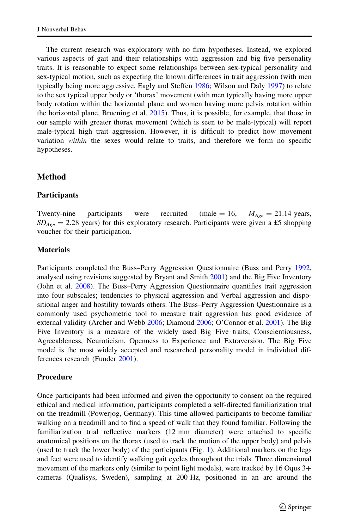The current research was exploratory with no firm hypotheses. Instead, we explored various aspects of gait and their relationships with aggression and big five personality traits. It is reasonable to expect some relationships between sex-typical personality and sex-typical motion, such as expecting the known differences in trait aggression (with men typically being more aggressive, Eagly and Steffen [1986;](#page-9-0) Wilson and Daly [1997\)](#page-9-0) to relate to the sex typical upper body or 'thorax' movement (with men typically having more upper body rotation within the horizontal plane and women having more pelvis rotation within the horizontal plane, Bruening et al. [2015\)](#page-9-0). Thus, it is possible, for example, that those in our sample with greater thorax movement (which is seen to be male-typical) will report male-typical high trait aggression. However, it is difficult to predict how movement variation within the sexes would relate to traits, and therefore we form no specific hypotheses.

# Method

#### **Participants**

Twenty-nine participants were recruited (male = 16,  $M_{Aee} = 21.14$  years,  $SD<sub>Age</sub> = 2.28$  years) for this exploratory research. Participants were given a £5 shopping voucher for their participation.

## **Materials**

Participants completed the Buss–Perry Aggression Questionnaire (Buss and Perry [1992](#page-9-0), analysed using revisions suggested by Bryant and Smith [2001\)](#page-9-0) and the Big Five Inventory (John et al. [2008\)](#page-9-0). The Buss–Perry Aggression Questionnaire quantifies trait aggression into four subscales; tendencies to physical aggression and Verbal aggression and dispositional anger and hostility towards others. The Buss–Perry Aggression Questionnaire is a commonly used psychometric tool to measure trait aggression has good evidence of external validity (Archer and Webb [2006](#page-9-0); Diamond [2006;](#page-9-0) O'Connor et al. [2001](#page-9-0)). The Big Five Inventory is a measure of the widely used Big Five traits; Conscientiousness, Agreeableness, Neuroticism, Openness to Experience and Extraversion. The Big Five model is the most widely accepted and researched personality model in individual differences research (Funder [2001](#page-9-0)).

## Procedure

Once participants had been informed and given the opportunity to consent on the required ethical and medical information, participants completed a self-directed familiarization trial on the treadmill (Powerjog, Germany). This time allowed participants to become familiar walking on a treadmill and to find a speed of walk that they found familiar. Following the familiarization trial reflective markers (12 mm diameter) were attached to specific anatomical positions on the thorax (used to track the motion of the upper body) and pelvis (used to track the lower body) of the participants (Fig. [1](#page-3-0)). Additional markers on the legs and feet were used to identify walking gait cycles throughout the trials. Three dimensional movement of the markers only (similar to point light models), were tracked by 16 Oqus  $3+$ cameras (Qualisys, Sweden), sampling at 200 Hz, positioned in an arc around the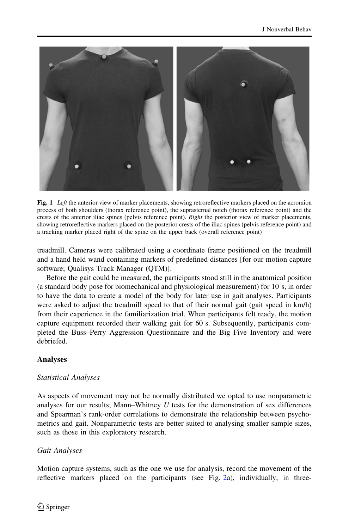<span id="page-3-0"></span>

Fig. 1 Left the anterior view of marker placements, showing retroreflective markers placed on the acromion process of both shoulders (thorax reference point), the suprasternal notch (thorax reference point) and the crests of the anterior iliac spines (pelvis reference point). Right the posterior view of marker placements, showing retroreflective markers placed on the posterior crests of the iliac spines (pelvis reference point) and a tracking marker placed right of the spine on the upper back (overall reference point)

treadmill. Cameras were calibrated using a coordinate frame positioned on the treadmill and a hand held wand containing markers of predefined distances [for our motion capture software; Qualisys Track Manager (QTM)].

Before the gait could be measured, the participants stood still in the anatomical position (a standard body pose for biomechanical and physiological measurement) for 10 s, in order to have the data to create a model of the body for later use in gait analyses. Participants were asked to adjust the treadmill speed to that of their normal gait (gait speed in km/h) from their experience in the familiarization trial. When participants felt ready, the motion capture equipment recorded their walking gait for 60 s. Subsequently, participants completed the Buss–Perry Aggression Questionnaire and the Big Five Inventory and were debriefed.

## Analyses

## Statistical Analyses

As aspects of movement may not be normally distributed we opted to use nonparametric analyses for our results; Mann–Whitney  $U$  tests for the demonstration of sex differences and Spearman's rank-order correlations to demonstrate the relationship between psychometrics and gait. Nonparametric tests are better suited to analysing smaller sample sizes, such as those in this exploratory research.

## Gait Analyses

Motion capture systems, such as the one we use for analysis, record the movement of the reflective markers placed on the participants (see Fig. [2a](#page-4-0)), individually, in three-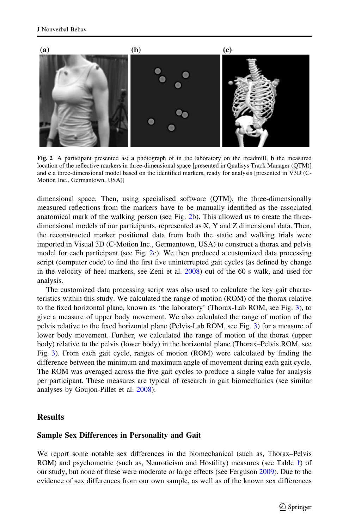<span id="page-4-0"></span>

Fig. 2 A participant presented as; a photograph of in the laboratory on the treadmill, **b** the measured location of the reflective markers in three-dimensional space [presented in Qualisys Track Manager (QTM)] and c a three-dimensional model based on the identified markers, ready for analysis [presented in V3D (C-Motion Inc., Germantown, USA)]

dimensional space. Then, using specialised software (QTM), the three-dimensionally measured reflections from the markers have to be manually identified as the associated anatomical mark of the walking person (see Fig. 2b). This allowed us to create the threedimensional models of our participants, represented as X, Y and Z dimensional data. Then, the reconstructed marker positional data from both the static and walking trials were imported in Visual 3D (C-Motion Inc., Germantown, USA) to construct a thorax and pelvis model for each participant (see Fig. 2c). We then produced a customized data processing script (computer code) to find the first five uninterrupted gait cycles (as defined by change in the velocity of heel markers, see Zeni et al. [2008\)](#page-9-0) out of the 60 s walk, and used for analysis.

The customized data processing script was also used to calculate the key gait characteristics within this study. We calculated the range of motion (ROM) of the thorax relative to the fixed horizontal plane, known as 'the laboratory' (Thorax-Lab ROM, see Fig. [3\)](#page-5-0), to give a measure of upper body movement. We also calculated the range of motion of the pelvis relative to the fixed horizontal plane (Pelvis-Lab ROM, see Fig. [3](#page-5-0)) for a measure of lower body movement. Further, we calculated the range of motion of the thorax (upper body) relative to the pelvis (lower body) in the horizontal plane (Thorax–Pelvis ROM, see Fig. [3\)](#page-5-0). From each gait cycle, ranges of motion (ROM) were calculated by finding the difference between the minimum and maximum angle of movement during each gait cycle. The ROM was averaged across the five gait cycles to produce a single value for analysis per participant. These measures are typical of research in gait biomechanics (see similar analyses by Goujon-Pillet et al. [2008\)](#page-9-0).

#### **Results**

#### Sample Sex Differences in Personality and Gait

We report some notable sex differences in the biomechanical (such as, Thorax–Pelvis ROM) and psychometric (such as, Neuroticism and Hostility) measures (see Table [1](#page-5-0)) of our study, but none of these were moderate or large effects (see Ferguson [2009](#page-9-0)). Due to the evidence of sex differences from our own sample, as well as of the known sex differences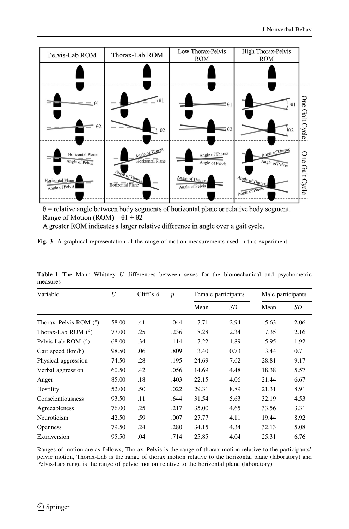<span id="page-5-0"></span>

 $\theta$  = relative angle between body segments of horizontal plane or relative body segment. Range of Motion (ROM) =  $\theta$ 1 +  $\theta$ 2

A greater ROM indicates a larger relative difference in angle over a gait cycle.

|  |  |  |  |  |  |  |  | Fig. 3 A graphical representation of the range of motion measurements used in this experiment |  |  |  |  |
|--|--|--|--|--|--|--|--|-----------------------------------------------------------------------------------------------|--|--|--|--|
|--|--|--|--|--|--|--|--|-----------------------------------------------------------------------------------------------|--|--|--|--|

| Variable                | U     | Cliff's $\delta$ | $\boldsymbol{p}$ |       | Female participants | Male participants |      |  |
|-------------------------|-------|------------------|------------------|-------|---------------------|-------------------|------|--|
|                         |       |                  |                  | Mean  | SD                  | Mean              | SD   |  |
| Thorax–Pelvis ROM $(°)$ | 58.00 | .41              | .044             | 7.71  | 2.94                | 5.63              | 2.06 |  |
| Thorax-Lab ROM $(°)$    | 77.00 | .25              | .236             | 8.28  | 2.34                | 7.35              | 2.16 |  |
| Pelvis-Lab ROM $(°)$    | 68.00 | .34              | .114             | 7.22  | 1.89                | 5.95              | 1.92 |  |
| Gait speed (km/h)       | 98.50 | .06              | .809             | 3.40  | 0.73                | 3.44              | 0.71 |  |
| Physical aggression     | 74.50 | .28              | .195             | 24.69 | 7.62                | 28.81             | 9.17 |  |
| Verbal aggression       | 60.50 | .42              | .056             | 14.69 | 4.48                | 18.38             | 5.57 |  |
| Anger                   | 85.00 | .18              | .403             | 22.15 | 4.06                | 21.44             | 6.67 |  |
| Hostility               | 52.00 | .50              | .022             | 29.31 | 8.89                | 21.31             | 8.91 |  |
| Conscientiousness       | 93.50 | .11              | .644             | 31.54 | 5.63                | 32.19             | 4.53 |  |
| Agreeableness           | 76.00 | .25              | .217             | 35.00 | 4.65                | 33.56             | 3.31 |  |
| Neuroticism             | 42.50 | .59              | .007             | 27.77 | 4.11                | 19.44             | 8.92 |  |
| <b>Openness</b>         | 79.50 | .24              | .280             | 34.15 | 4.34                | 32.13             | 5.08 |  |
| Extraversion            | 95.50 | .04              | .714             | 25.85 | 4.04                | 25.31             | 6.76 |  |

Table 1 The Mann-Whitney U differences between sexes for the biomechanical and psychometric measures

Ranges of motion are as follows; Thorax–Pelvis is the range of thorax motion relative to the participants' pelvic motion, Thorax-Lab is the range of thorax motion relative to the horizontal plane (laboratory) and Pelvis-Lab range is the range of pelvic motion relative to the horizontal plane (laboratory)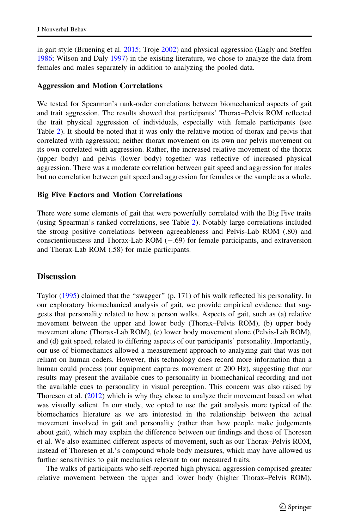in gait style (Bruening et al. [2015;](#page-9-0) Troje [2002](#page-9-0)) and physical aggression (Eagly and Steffen [1986;](#page-9-0) Wilson and Daly [1997\)](#page-9-0) in the existing literature, we chose to analyze the data from females and males separately in addition to analyzing the pooled data.

#### Aggression and Motion Correlations

We tested for Spearman's rank-order correlations between biomechanical aspects of gait and trait aggression. The results showed that participants' Thorax–Pelvis ROM reflected the trait physical aggression of individuals, especially with female participants (see Table [2](#page-7-0)). It should be noted that it was only the relative motion of thorax and pelvis that correlated with aggression; neither thorax movement on its own nor pelvis movement on its own correlated with aggression. Rather, the increased relative movement of the thorax (upper body) and pelvis (lower body) together was reflective of increased physical aggression. There was a moderate correlation between gait speed and aggression for males but no correlation between gait speed and aggression for females or the sample as a whole.

#### Big Five Factors and Motion Correlations

There were some elements of gait that were powerfully correlated with the Big Five traits (using Spearman's ranked correlations, see Table [2\)](#page-7-0). Notably large correlations included the strong positive correlations between agreeableness and Pelvis-Lab ROM (.80) and conscientiousness and Thorax-Lab ROM  $(-.69)$  for female participants, and extraversion and Thorax-Lab ROM (.58) for male participants.

# **Discussion**

Taylor ([1995\)](#page-9-0) claimed that the "swagger" (p. 171) of his walk reflected his personality. In our exploratory biomechanical analysis of gait, we provide empirical evidence that suggests that personality related to how a person walks. Aspects of gait, such as (a) relative movement between the upper and lower body (Thorax–Pelvis ROM), (b) upper body movement alone (Thorax-Lab ROM), (c) lower body movement alone (Pelvis-Lab ROM), and (d) gait speed, related to differing aspects of our participants' personality. Importantly, our use of biomechanics allowed a measurement approach to analyzing gait that was not reliant on human coders. However, this technology does record more information than a human could process (our equipment captures movement at 200 Hz), suggesting that our results may present the available cues to personality in biomechanical recording and not the available cues to personality in visual perception. This concern was also raised by Thoresen et al. ([2012\)](#page-9-0) which is why they chose to analyze their movement based on what was visually salient. In our study, we opted to use the gait analysis more typical of the biomechanics literature as we are interested in the relationship between the actual movement involved in gait and personality (rather than how people make judgements about gait), which may explain the difference between our findings and those of Thoresen et al. We also examined different aspects of movement, such as our Thorax–Pelvis ROM, instead of Thoresen et al.'s compound whole body measures, which may have allowed us further sensitivities to gait mechanics relevant to our measured traits.

The walks of participants who self-reported high physical aggression comprised greater relative movement between the upper and lower body (higher Thorax–Pelvis ROM).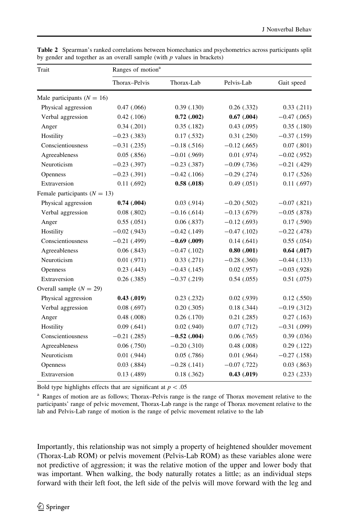| Trait                          | Ranges of motion <sup>a</sup> |                 |                 |                 |  |  |  |  |  |  |
|--------------------------------|-------------------------------|-----------------|-----------------|-----------------|--|--|--|--|--|--|
|                                | Thorax-Pelvis                 | Thorax-Lab      | Pelvis-Lab      | Gait speed      |  |  |  |  |  |  |
| Male participants ( $N = 16$ ) |                               |                 |                 |                 |  |  |  |  |  |  |
| Physical aggression            | $0.47$ $(.066)$               | 0.39(0.130)     | $0.26$ $(.332)$ | 0.33(0.211)     |  |  |  |  |  |  |
| Verbal aggression              | $0.42$ (.106)                 | $0.72$ $(.002)$ | $0.67$ $(.004)$ | $-0.47$ (.065)  |  |  |  |  |  |  |
| Anger                          | $0.34$ $(.201)$               | 0.35(0.182)     | 0.43(0.095)     | 0.35(0.180)     |  |  |  |  |  |  |
| Hostility                      | $-0.23$ (.383)                | 0.17(0.532)     | 0.31(0.250)     | $-0.37(0.159)$  |  |  |  |  |  |  |
| Conscientiousness              | $-0.31$ (.235)                | $-0.18$ (.516)  | $-0.12$ (.665)  | 0.07(.801)      |  |  |  |  |  |  |
| Agreeableness                  | 0.05(.856)                    | $-0.01$ (.969)  | $0.01$ (.974)   | $-0.02$ (.952)  |  |  |  |  |  |  |
| Neuroticism                    | $-0.23$ (.397)                | $-0.23$ (.387)  | $-0.09$ (.736)  | $-0.21$ (.429)  |  |  |  |  |  |  |
| Openness                       | $-0.23$ (.391)                | $-0.42$ (.106)  | $-0.29$ (.274)  | 0.17(.526)      |  |  |  |  |  |  |
| Extraversion                   | 0.11(0.692)                   | $0.58$ $(.018)$ | $0.49$ $(.051)$ | $0.11$ $(.697)$ |  |  |  |  |  |  |
| Female participants $(N = 13)$ |                               |                 |                 |                 |  |  |  |  |  |  |
| Physical aggression            | $0.74$ $(.004)$               | $0.03$ (.914)   | $-0.20$ (.502)  | $-0.07$ (.821)  |  |  |  |  |  |  |
| Verbal aggression              | $0.08$ $(.802)$               | $-0.16$ (.614)  | $-0.13(0.679)$  | $-0.05$ (.878)  |  |  |  |  |  |  |
| Anger                          | 0.55(.051)                    | $0.06$ $(.837)$ | $-0.12$ (.693)  | 0.17(0.590)     |  |  |  |  |  |  |
| Hostility                      | $-0.02$ (.943)                | $-0.42$ (.149)  | $-0.47$ (.102)  | $-0.22$ (.478)  |  |  |  |  |  |  |
| Conscientiousness              | $-0.21$ (.499)                | $-0.69$ (.009)  | 0.14(.641)      | $0.55$ $(.054)$ |  |  |  |  |  |  |
| Agreeableness                  | 0.06(.843)                    | $-0.47$ (.102)  | $0.80$ $(.001)$ | $0.64$ $(.017)$ |  |  |  |  |  |  |
| Neuroticism                    | 0.01(0.971)                   | 0.33(0.271)     | $-0.28$ (.360)  | $-0.44$ (.133)  |  |  |  |  |  |  |
| Openness                       | $0.23$ $(.443)$               | $-0.43$ (.145)  | $0.02$ (.957)   | $-0.03$ (.928)  |  |  |  |  |  |  |
| Extraversion                   | $0.26$ $(.385)$               | $-0.37$ (.219)  | 0.54(0.055)     | $0.51$ $(.075)$ |  |  |  |  |  |  |
| Overall sample $(N = 29)$      |                               |                 |                 |                 |  |  |  |  |  |  |
| Physical aggression            | $0.43$ $(.019)$               | 0.23(0.232)     | $0.02$ (.939)   | 0.12(.550)      |  |  |  |  |  |  |
| Verbal aggression              | $0.08$ $(.697)$               | $0.20$ $(.305)$ | 0.18(.344)      | $-0.19$ (.312)  |  |  |  |  |  |  |
| Anger                          | $0.48$ $(.008)$               | $0.26$ $(.170)$ | $0.21$ $(.285)$ | 0.27(0.163)     |  |  |  |  |  |  |
| Hostility                      | 0.09(.641)                    | $0.02$ (.940)   | $0.07$ $(.712)$ | $-0.31$ (.099)  |  |  |  |  |  |  |
| Conscientiousness              | $-0.21$ (.285)                | $-0.52$ (.004)  | $0.06$ $(.765)$ | 0.39(0.036)     |  |  |  |  |  |  |
| Agreeableness                  | $0.06$ $(.750)$               | $-0.20$ (.310)  | $0.48$ $(.008)$ | 0.29(0.122)     |  |  |  |  |  |  |
| Neuroticism                    | $0.01$ (.944)                 | $0.05$ $(.786)$ | $0.01$ (.964)   | $-0.27$ (.158)  |  |  |  |  |  |  |
| Openness                       | $0.03$ $(.884)$               | $-0.28$ (.141)  | $-0.07$ (.722)  | 0.03(0.863)     |  |  |  |  |  |  |
| Extraversion                   | 0.13(0.489)                   | $0.18$ $(.362)$ | 0.43(0.019)     | 0.23(0.233)     |  |  |  |  |  |  |

<span id="page-7-0"></span>Table 2 Spearman's ranked correlations between biomechanics and psychometrics across participants split by gender and together as an overall sample (with  $p$  values in brackets)

Bold type highlights effects that are significant at  $p < .05$ 

<sup>a</sup> Ranges of motion are as follows; Thorax–Pelvis range is the range of Thorax movement relative to the participants' range of pelvic movement, Thorax-Lab range is the range of Thorax movement relative to the lab and Pelvis-Lab range of motion is the range of pelvic movement relative to the lab

Importantly, this relationship was not simply a property of heightened shoulder movement (Thorax-Lab ROM) or pelvis movement (Pelvis-Lab ROM) as these variables alone were not predictive of aggression; it was the relative motion of the upper and lower body that was important. When walking, the body naturally rotates a little; as an individual steps forward with their left foot, the left side of the pelvis will move forward with the leg and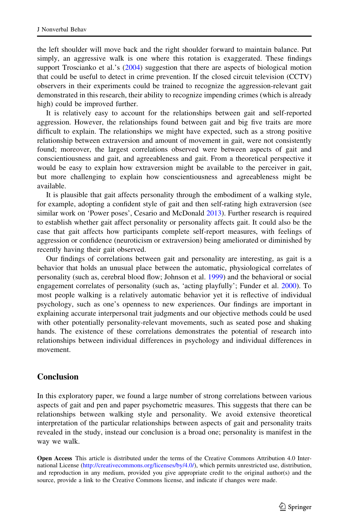the left shoulder will move back and the right shoulder forward to maintain balance. Put simply, an aggressive walk is one where this rotation is exaggerated. These findings support Troscianko et al.'s ([2004](#page-9-0)) suggestion that there are aspects of biological motion that could be useful to detect in crime prevention. If the closed circuit television (CCTV) observers in their experiments could be trained to recognize the aggression-relevant gait demonstrated in this research, their ability to recognize impending crimes (which is already high) could be improved further.

It is relatively easy to account for the relationships between gait and self-reported aggression. However, the relationships found between gait and big five traits are more difficult to explain. The relationships we might have expected, such as a strong positive relationship between extraversion and amount of movement in gait, were not consistently found; moreover, the largest correlations observed were between aspects of gait and conscientiousness and gait, and agreeableness and gait. From a theoretical perspective it would be easy to explain how extraversion might be available to the perceiver in gait, but more challenging to explain how conscientiousness and agreeableness might be available.

It is plausible that gait affects personality through the embodiment of a walking style, for example, adopting a confident style of gait and then self-rating high extraversion (see similar work on 'Power poses', Cesario and McDonald [2013](#page-9-0)). Further research is required to establish whether gait affect personality or personality affects gait. It could also be the case that gait affects how participants complete self-report measures, with feelings of aggression or confidence (neuroticism or extraversion) being ameliorated or diminished by recently having their gait observed.

Our findings of correlations between gait and personality are interesting, as gait is a behavior that holds an unusual place between the automatic, physiological correlates of personality (such as, cerebral blood flow; Johnson et al. [1999\)](#page-9-0) and the behavioral or social engagement correlates of personality (such as, 'acting playfully'; Funder et al. [2000](#page-9-0)). To most people walking is a relatively automatic behavior yet it is reflective of individual psychology, such as one's openness to new experiences. Our findings are important in explaining accurate interpersonal trait judgments and our objective methods could be used with other potentially personality-relevant movements, such as seated pose and shaking hands. The existence of these correlations demonstrates the potential of research into relationships between individual differences in psychology and individual differences in movement.

#### Conclusion

In this exploratory paper, we found a large number of strong correlations between various aspects of gait and pen and paper psychometric measures. This suggests that there can be relationships between walking style and personality. We avoid extensive theoretical interpretation of the particular relationships between aspects of gait and personality traits revealed in the study, instead our conclusion is a broad one; personality is manifest in the way we walk.

Open Access This article is distributed under the terms of the Creative Commons Attribution 4.0 International License [\(http://creativecommons.org/licenses/by/4.0/\)](http://creativecommons.org/licenses/by/4.0/), which permits unrestricted use, distribution, and reproduction in any medium, provided you give appropriate credit to the original author(s) and the source, provide a link to the Creative Commons license, and indicate if changes were made.